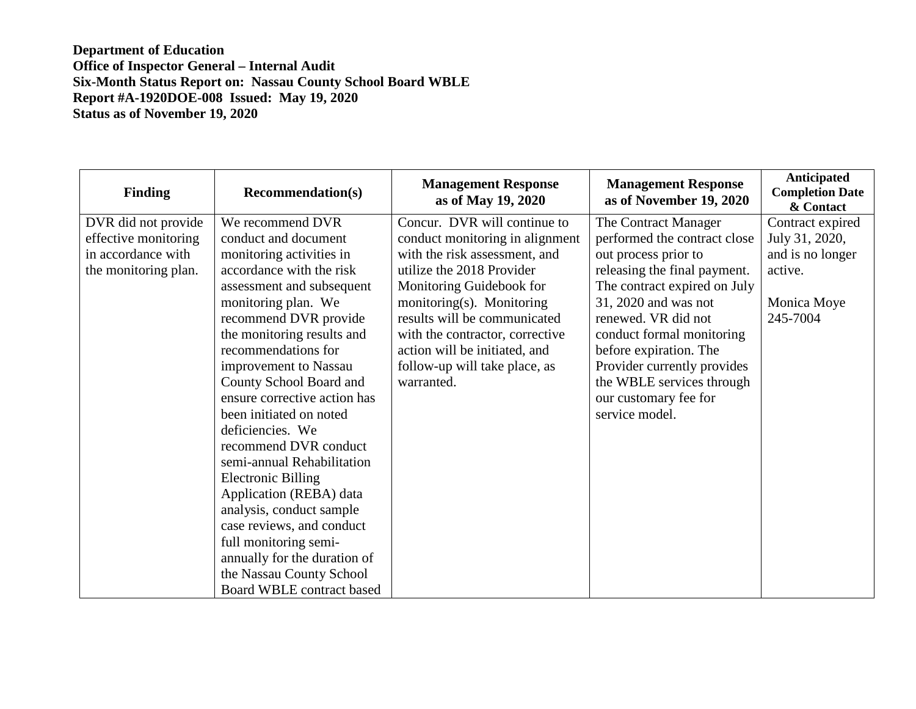| <b>Finding</b>       | <b>Recommendation(s)</b>     | <b>Management Response</b><br>as of May 19, 2020 | <b>Management Response</b><br>as of November 19, 2020 | <b>Anticipated</b><br><b>Completion Date</b><br>& Contact |
|----------------------|------------------------------|--------------------------------------------------|-------------------------------------------------------|-----------------------------------------------------------|
| DVR did not provide  | We recommend DVR             | Concur. DVR will continue to                     | The Contract Manager                                  | Contract expired                                          |
| effective monitoring | conduct and document         | conduct monitoring in alignment                  | performed the contract close                          | July 31, 2020,                                            |
| in accordance with   | monitoring activities in     | with the risk assessment, and                    | out process prior to                                  | and is no longer                                          |
| the monitoring plan. | accordance with the risk     | utilize the 2018 Provider                        | releasing the final payment.                          | active.                                                   |
|                      | assessment and subsequent    | Monitoring Guidebook for                         | The contract expired on July                          |                                                           |
|                      | monitoring plan. We          | monitoring(s). Monitoring                        | 31, 2020 and was not                                  | Monica Moye                                               |
|                      | recommend DVR provide        | results will be communicated                     | renewed. VR did not                                   | 245-7004                                                  |
|                      | the monitoring results and   | with the contractor, corrective                  | conduct formal monitoring                             |                                                           |
|                      | recommendations for          | action will be initiated, and                    | before expiration. The                                |                                                           |
|                      | improvement to Nassau        | follow-up will take place, as                    | Provider currently provides                           |                                                           |
|                      | County School Board and      | warranted.                                       | the WBLE services through                             |                                                           |
|                      | ensure corrective action has |                                                  | our customary fee for                                 |                                                           |
|                      | been initiated on noted      |                                                  | service model.                                        |                                                           |
|                      | deficiencies. We             |                                                  |                                                       |                                                           |
|                      | recommend DVR conduct        |                                                  |                                                       |                                                           |
|                      | semi-annual Rehabilitation   |                                                  |                                                       |                                                           |
|                      | <b>Electronic Billing</b>    |                                                  |                                                       |                                                           |
|                      | Application (REBA) data      |                                                  |                                                       |                                                           |
|                      | analysis, conduct sample     |                                                  |                                                       |                                                           |
|                      | case reviews, and conduct    |                                                  |                                                       |                                                           |
|                      | full monitoring semi-        |                                                  |                                                       |                                                           |
|                      | annually for the duration of |                                                  |                                                       |                                                           |
|                      | the Nassau County School     |                                                  |                                                       |                                                           |
|                      | Board WBLE contract based    |                                                  |                                                       |                                                           |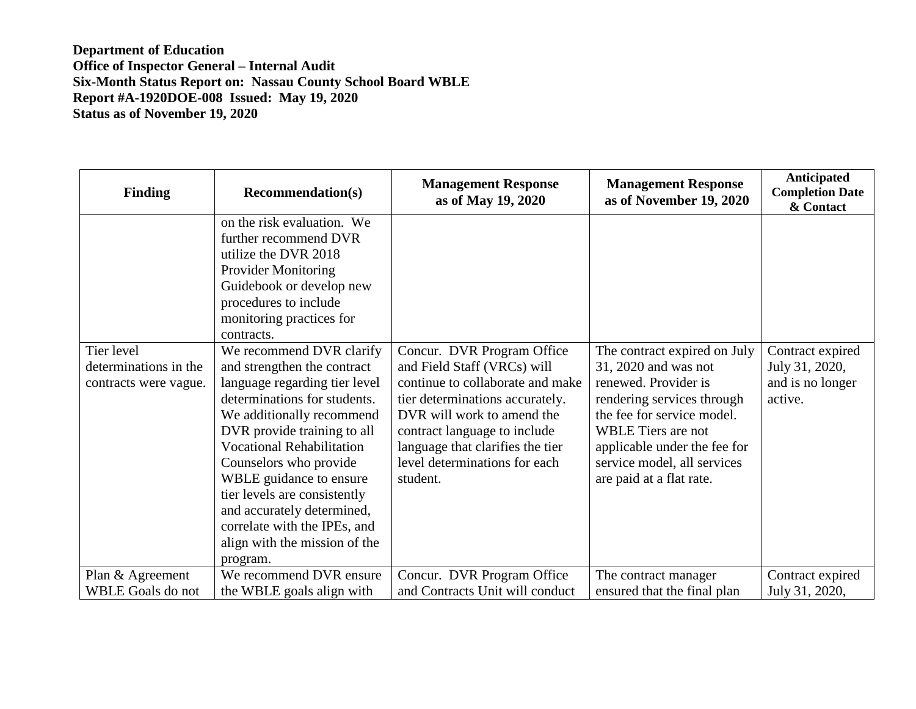| <b>Finding</b>                                               | <b>Recommendation(s)</b>                                                                                                                                                                                                                                                                                                                                                                                                 | <b>Management Response</b><br>as of May 19, 2020                                                                                                                                                                                                                                | <b>Management Response</b><br>as of November 19, 2020                                                                                                                                                                                                     | Anticipated<br><b>Completion Date</b><br>& Contact                |
|--------------------------------------------------------------|--------------------------------------------------------------------------------------------------------------------------------------------------------------------------------------------------------------------------------------------------------------------------------------------------------------------------------------------------------------------------------------------------------------------------|---------------------------------------------------------------------------------------------------------------------------------------------------------------------------------------------------------------------------------------------------------------------------------|-----------------------------------------------------------------------------------------------------------------------------------------------------------------------------------------------------------------------------------------------------------|-------------------------------------------------------------------|
|                                                              | on the risk evaluation. We<br>further recommend DVR<br>utilize the DVR 2018<br><b>Provider Monitoring</b><br>Guidebook or develop new<br>procedures to include<br>monitoring practices for<br>contracts.                                                                                                                                                                                                                 |                                                                                                                                                                                                                                                                                 |                                                                                                                                                                                                                                                           |                                                                   |
| Tier level<br>determinations in the<br>contracts were vague. | We recommend DVR clarify<br>and strengthen the contract<br>language regarding tier level<br>determinations for students.<br>We additionally recommend<br>DVR provide training to all<br><b>Vocational Rehabilitation</b><br>Counselors who provide<br>WBLE guidance to ensure<br>tier levels are consistently<br>and accurately determined,<br>correlate with the IPEs, and<br>align with the mission of the<br>program. | Concur. DVR Program Office<br>and Field Staff (VRCs) will<br>continue to collaborate and make<br>tier determinations accurately.<br>DVR will work to amend the<br>contract language to include<br>language that clarifies the tier<br>level determinations for each<br>student. | The contract expired on July<br>31, 2020 and was not<br>renewed. Provider is<br>rendering services through<br>the fee for service model.<br>WBLE Tiers are not<br>applicable under the fee for<br>service model, all services<br>are paid at a flat rate. | Contract expired<br>July 31, 2020,<br>and is no longer<br>active. |
| Plan & Agreement<br><b>WBLE Goals do not</b>                 | We recommend DVR ensure<br>the WBLE goals align with                                                                                                                                                                                                                                                                                                                                                                     | Concur. DVR Program Office<br>and Contracts Unit will conduct                                                                                                                                                                                                                   | The contract manager<br>ensured that the final plan                                                                                                                                                                                                       | Contract expired<br>July 31, 2020,                                |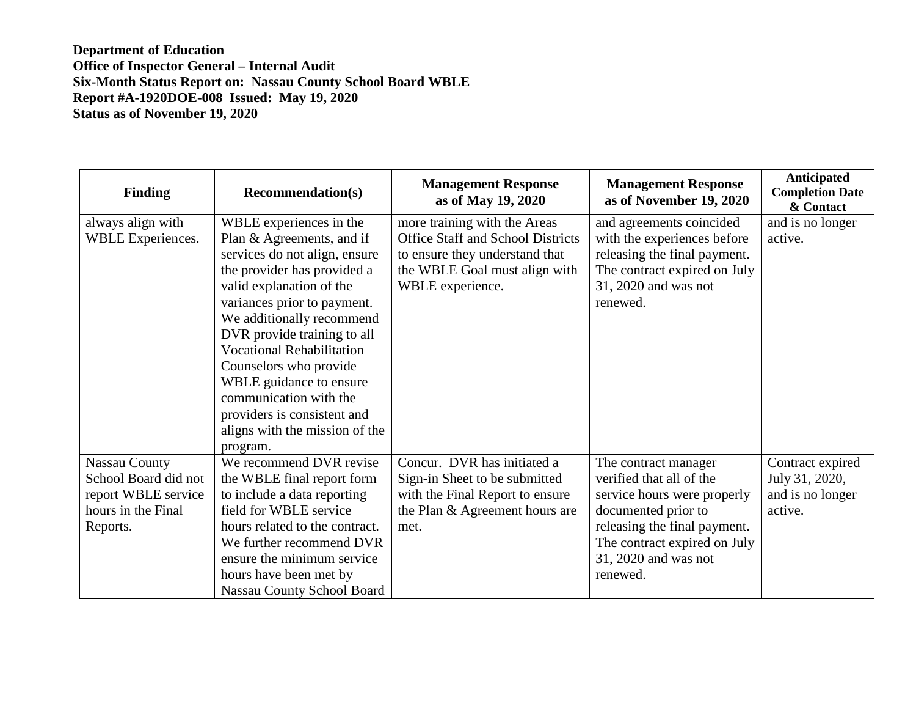| <b>Finding</b>       | <b>Recommendation(s)</b>          | <b>Management Response</b><br>as of May 19, 2020 | <b>Management Response</b><br>as of November 19, 2020 | <b>Anticipated</b><br><b>Completion Date</b><br>& Contact |
|----------------------|-----------------------------------|--------------------------------------------------|-------------------------------------------------------|-----------------------------------------------------------|
| always align with    | WBLE experiences in the           | more training with the Areas                     | and agreements coincided                              | and is no longer                                          |
| WBLE Experiences.    | Plan & Agreements, and if         | <b>Office Staff and School Districts</b>         | with the experiences before                           | active.                                                   |
|                      | services do not align, ensure     | to ensure they understand that                   | releasing the final payment.                          |                                                           |
|                      | the provider has provided a       | the WBLE Goal must align with                    | The contract expired on July                          |                                                           |
|                      | valid explanation of the          | WBLE experience.                                 | 31, 2020 and was not                                  |                                                           |
|                      | variances prior to payment.       |                                                  | renewed.                                              |                                                           |
|                      | We additionally recommend         |                                                  |                                                       |                                                           |
|                      | DVR provide training to all       |                                                  |                                                       |                                                           |
|                      | <b>Vocational Rehabilitation</b>  |                                                  |                                                       |                                                           |
|                      | Counselors who provide            |                                                  |                                                       |                                                           |
|                      | WBLE guidance to ensure           |                                                  |                                                       |                                                           |
|                      | communication with the            |                                                  |                                                       |                                                           |
|                      | providers is consistent and       |                                                  |                                                       |                                                           |
|                      | aligns with the mission of the    |                                                  |                                                       |                                                           |
|                      | program.                          |                                                  |                                                       |                                                           |
| <b>Nassau County</b> | We recommend DVR revise           | Concur. DVR has initiated a                      | The contract manager                                  | Contract expired                                          |
| School Board did not | the WBLE final report form        | Sign-in Sheet to be submitted                    | verified that all of the                              | July 31, 2020,                                            |
| report WBLE service  | to include a data reporting       | with the Final Report to ensure                  | service hours were properly                           | and is no longer                                          |
| hours in the Final   | field for WBLE service            | the Plan & Agreement hours are                   | documented prior to                                   | active.                                                   |
| Reports.             | hours related to the contract.    | met.                                             | releasing the final payment.                          |                                                           |
|                      | We further recommend DVR          |                                                  | The contract expired on July                          |                                                           |
|                      | ensure the minimum service        |                                                  | 31, 2020 and was not                                  |                                                           |
|                      | hours have been met by            |                                                  | renewed.                                              |                                                           |
|                      | <b>Nassau County School Board</b> |                                                  |                                                       |                                                           |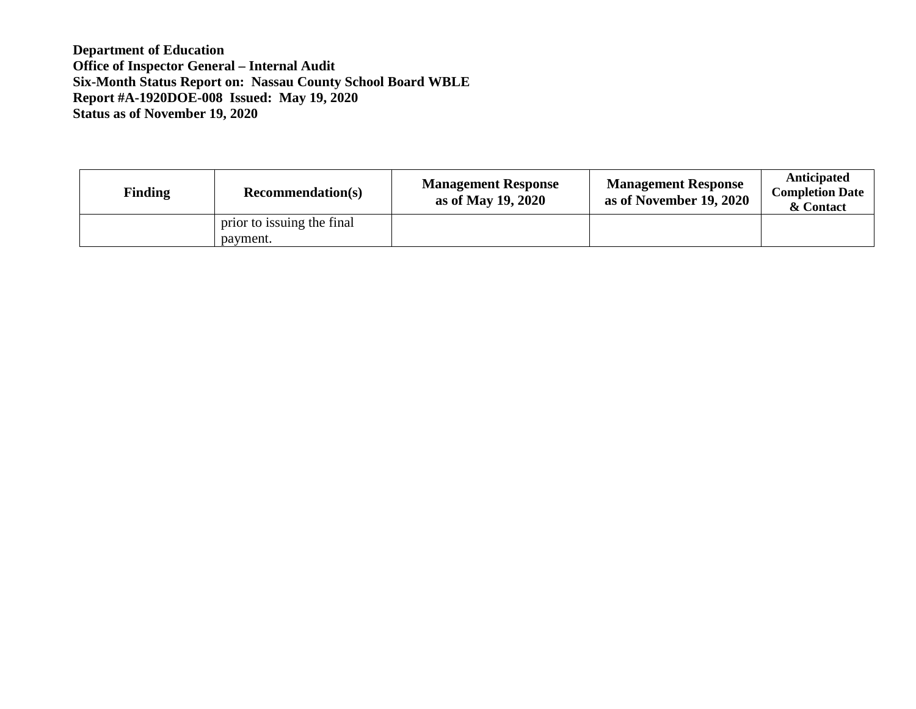| <b>Finding</b> | <b>Recommendation(s)</b>               | <b>Management Response</b><br>as of May 19, 2020 | <b>Management Response</b><br>as of November 19, 2020 | Anticipated<br><b>Completion Date</b><br>& Contact |
|----------------|----------------------------------------|--------------------------------------------------|-------------------------------------------------------|----------------------------------------------------|
|                | prior to issuing the final<br>payment. |                                                  |                                                       |                                                    |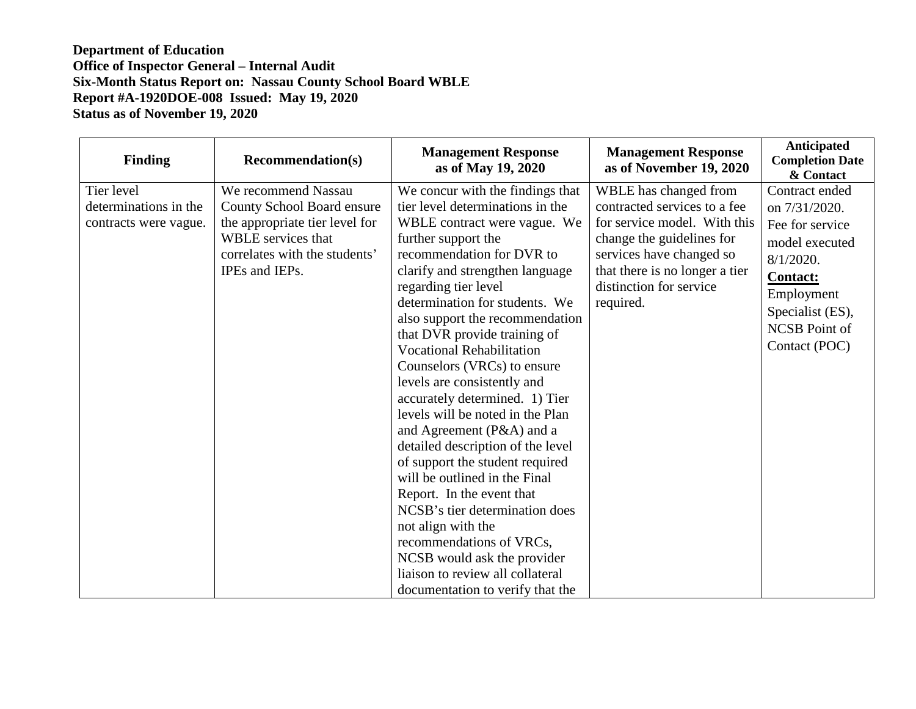| <b>Finding</b>        | <b>Recommendation(s)</b>       | <b>Management Response</b><br>as of May 19, 2020              | <b>Management Response</b><br>as of November 19, 2020 | Anticipated<br><b>Completion Date</b><br>& Contact |
|-----------------------|--------------------------------|---------------------------------------------------------------|-------------------------------------------------------|----------------------------------------------------|
| Tier level            | We recommend Nassau            | We concur with the findings that                              | WBLE has changed from                                 | Contract ended                                     |
| determinations in the | County School Board ensure     | tier level determinations in the                              | contracted services to a fee                          | on 7/31/2020.                                      |
| contracts were vague. | the appropriate tier level for | WBLE contract were vague. We                                  | for service model. With this                          | Fee for service                                    |
|                       | <b>WBLE</b> services that      | further support the                                           | change the guidelines for                             | model executed                                     |
|                       | correlates with the students'  | recommendation for DVR to                                     | services have changed so                              | $8/1/2020$ .                                       |
|                       | IPEs and IEPs.                 | clarify and strengthen language                               | that there is no longer a tier                        | <b>Contact:</b>                                    |
|                       |                                | regarding tier level                                          | distinction for service                               | Employment                                         |
|                       |                                | determination for students. We                                | required.                                             | Specialist (ES),                                   |
|                       |                                | also support the recommendation                               |                                                       | <b>NCSB</b> Point of                               |
|                       |                                | that DVR provide training of                                  |                                                       | Contact (POC)                                      |
|                       |                                | <b>Vocational Rehabilitation</b>                              |                                                       |                                                    |
|                       |                                | Counselors (VRCs) to ensure                                   |                                                       |                                                    |
|                       |                                | levels are consistently and<br>accurately determined. 1) Tier |                                                       |                                                    |
|                       |                                | levels will be noted in the Plan                              |                                                       |                                                    |
|                       |                                | and Agreement (P&A) and a                                     |                                                       |                                                    |
|                       |                                | detailed description of the level                             |                                                       |                                                    |
|                       |                                | of support the student required                               |                                                       |                                                    |
|                       |                                | will be outlined in the Final                                 |                                                       |                                                    |
|                       |                                | Report. In the event that                                     |                                                       |                                                    |
|                       |                                | NCSB's tier determination does                                |                                                       |                                                    |
|                       |                                | not align with the                                            |                                                       |                                                    |
|                       |                                | recommendations of VRCs,                                      |                                                       |                                                    |
|                       |                                | NCSB would ask the provider                                   |                                                       |                                                    |
|                       |                                | liaison to review all collateral                              |                                                       |                                                    |
|                       |                                | documentation to verify that the                              |                                                       |                                                    |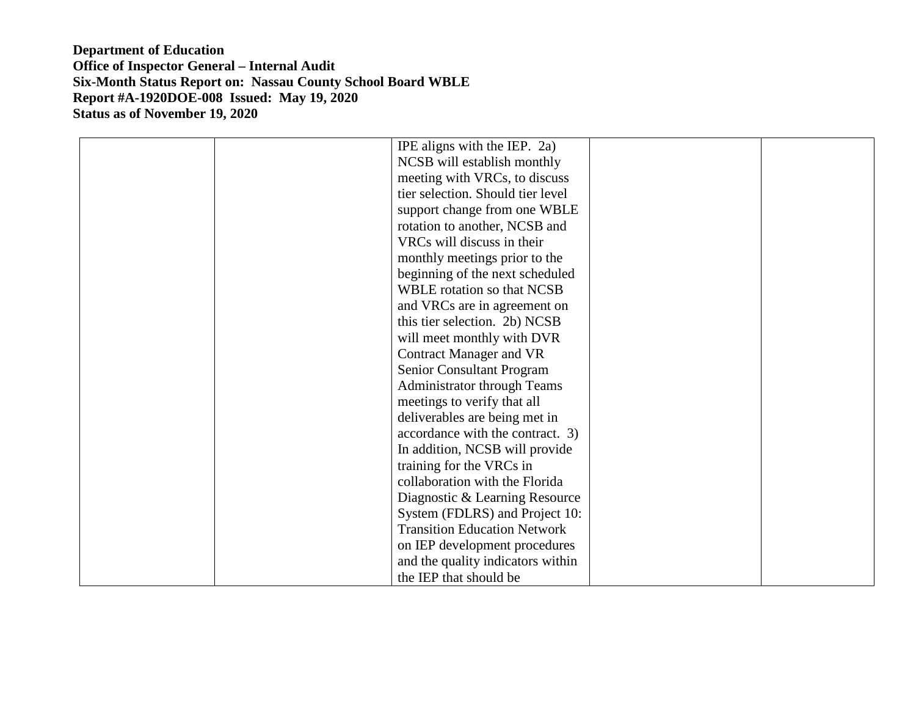| IPE aligns with the IEP. 2a)        |  |
|-------------------------------------|--|
| NCSB will establish monthly         |  |
| meeting with VRCs, to discuss       |  |
| tier selection. Should tier level   |  |
| support change from one WBLE        |  |
| rotation to another, NCSB and       |  |
| VRCs will discuss in their          |  |
| monthly meetings prior to the       |  |
| beginning of the next scheduled     |  |
| <b>WBLE</b> rotation so that NCSB   |  |
| and VRCs are in agreement on        |  |
| this tier selection. 2b) NCSB       |  |
| will meet monthly with DVR          |  |
| <b>Contract Manager and VR</b>      |  |
| Senior Consultant Program           |  |
| <b>Administrator through Teams</b>  |  |
| meetings to verify that all         |  |
| deliverables are being met in       |  |
| accordance with the contract. 3)    |  |
| In addition, NCSB will provide      |  |
| training for the VRCs in            |  |
| collaboration with the Florida      |  |
| Diagnostic & Learning Resource      |  |
| System (FDLRS) and Project 10:      |  |
| <b>Transition Education Network</b> |  |
| on IEP development procedures       |  |
| and the quality indicators within   |  |
| the IEP that should be              |  |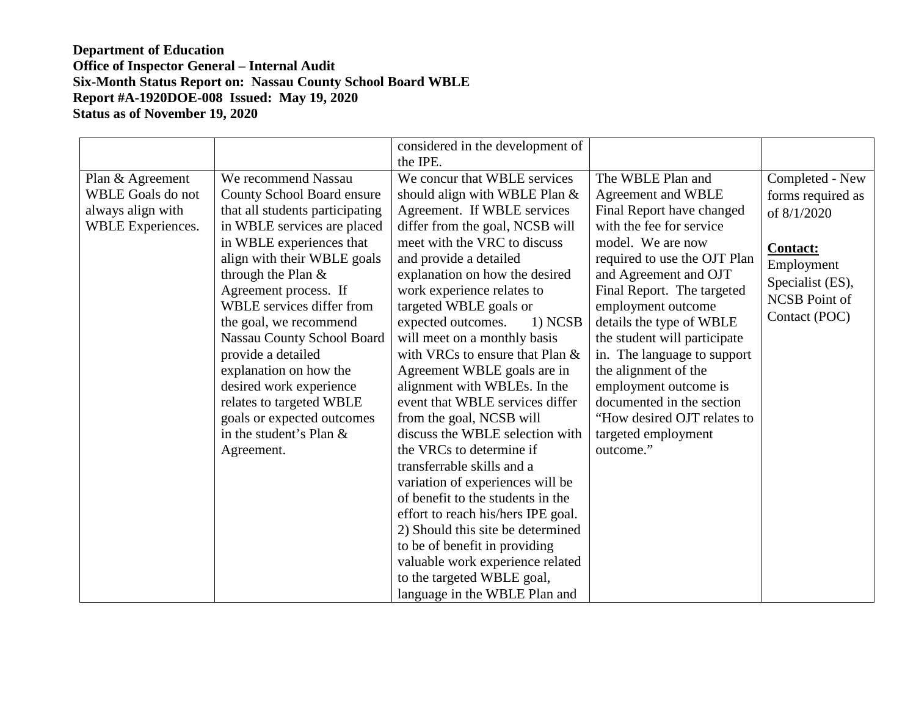|                                                                                        |                                                                                                                                                                                                                                                                                                                                                                                                                                                                                                      | considered in the development of<br>the IPE.                                                                                                                                                                                                                                                                                                                                                                                                                                                                                                                                                                                                                                                                                                                                                                                                                                                               |                                                                                                                                                                                                                                                                                                                                                                                                                                                                                |                                                                                                                                                   |
|----------------------------------------------------------------------------------------|------------------------------------------------------------------------------------------------------------------------------------------------------------------------------------------------------------------------------------------------------------------------------------------------------------------------------------------------------------------------------------------------------------------------------------------------------------------------------------------------------|------------------------------------------------------------------------------------------------------------------------------------------------------------------------------------------------------------------------------------------------------------------------------------------------------------------------------------------------------------------------------------------------------------------------------------------------------------------------------------------------------------------------------------------------------------------------------------------------------------------------------------------------------------------------------------------------------------------------------------------------------------------------------------------------------------------------------------------------------------------------------------------------------------|--------------------------------------------------------------------------------------------------------------------------------------------------------------------------------------------------------------------------------------------------------------------------------------------------------------------------------------------------------------------------------------------------------------------------------------------------------------------------------|---------------------------------------------------------------------------------------------------------------------------------------------------|
| Plan & Agreement<br><b>WBLE</b> Goals do not<br>always align with<br>WBLE Experiences. | We recommend Nassau<br>County School Board ensure<br>that all students participating<br>in WBLE services are placed<br>in WBLE experiences that<br>align with their WBLE goals<br>through the Plan $&$<br>Agreement process. If<br>WBLE services differ from<br>the goal, we recommend<br>Nassau County School Board<br>provide a detailed<br>explanation on how the<br>desired work experience<br>relates to targeted WBLE<br>goals or expected outcomes<br>in the student's Plan $&$<br>Agreement. | We concur that WBLE services<br>should align with WBLE Plan &<br>Agreement. If WBLE services<br>differ from the goal, NCSB will<br>meet with the VRC to discuss<br>and provide a detailed<br>explanation on how the desired<br>work experience relates to<br>targeted WBLE goals or<br>expected outcomes.<br>1) NCSB<br>will meet on a monthly basis<br>with VRCs to ensure that Plan &<br>Agreement WBLE goals are in<br>alignment with WBLEs. In the<br>event that WBLE services differ<br>from the goal, NCSB will<br>discuss the WBLE selection with<br>the VRCs to determine if<br>transferrable skills and a<br>variation of experiences will be<br>of benefit to the students in the<br>effort to reach his/hers IPE goal.<br>2) Should this site be determined<br>to be of benefit in providing<br>valuable work experience related<br>to the targeted WBLE goal,<br>language in the WBLE Plan and | The WBLE Plan and<br>Agreement and WBLE<br>Final Report have changed<br>with the fee for service<br>model. We are now<br>required to use the OJT Plan<br>and Agreement and OJT<br>Final Report. The targeted<br>employment outcome<br>details the type of WBLE<br>the student will participate<br>in. The language to support<br>the alignment of the<br>employment outcome is<br>documented in the section<br>"How desired OJT relates to<br>targeted employment<br>outcome." | Completed - New<br>forms required as<br>of 8/1/2020<br><b>Contact:</b><br>Employment<br>Specialist (ES),<br><b>NCSB</b> Point of<br>Contact (POC) |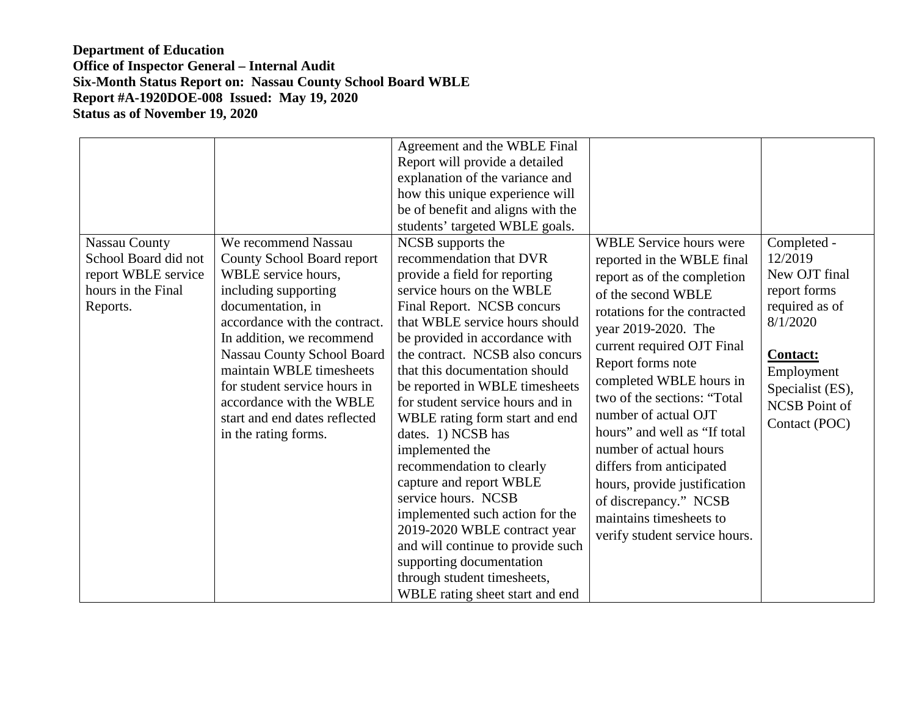| <b>Nassau County</b><br>School Board did not<br>report WBLE service<br>hours in the Final<br>Reports. | We recommend Nassau<br>County School Board report<br>WBLE service hours,<br>including supporting<br>documentation, in<br>accordance with the contract.<br>In addition, we recommend<br>Nassau County School Board<br>maintain WBLE timesheets<br>for student service hours in<br>accordance with the WBLE<br>start and end dates reflected<br>in the rating forms. | Agreement and the WBLE Final<br>Report will provide a detailed<br>explanation of the variance and<br>how this unique experience will<br>be of benefit and aligns with the<br>students' targeted WBLE goals.<br>NCSB supports the<br>recommendation that DVR<br>provide a field for reporting<br>service hours on the WBLE<br>Final Report. NCSB concurs<br>that WBLE service hours should<br>be provided in accordance with<br>the contract. NCSB also concurs<br>that this documentation should<br>be reported in WBLE timesheets<br>for student service hours and in<br>WBLE rating form start and end<br>dates. 1) NCSB has<br>implemented the<br>recommendation to clearly<br>capture and report WBLE<br>service hours. NCSB<br>implemented such action for the<br>2019-2020 WBLE contract year<br>and will continue to provide such<br>supporting documentation<br>through student timesheets,<br>WBLE rating sheet start and end | <b>WBLE Service hours were</b><br>reported in the WBLE final<br>report as of the completion<br>of the second WBLE<br>rotations for the contracted<br>year 2019-2020. The<br>current required OJT Final<br>Report forms note<br>completed WBLE hours in<br>two of the sections: "Total<br>number of actual OJT<br>hours" and well as "If total"<br>number of actual hours<br>differs from anticipated<br>hours, provide justification<br>of discrepancy." NCSB<br>maintains timesheets to<br>verify student service hours. | Completed -<br>12/2019<br>New OJT final<br>report forms<br>required as of<br>8/1/2020<br><b>Contact:</b><br>Employment<br>Specialist (ES),<br><b>NCSB</b> Point of<br>Contact (POC) |
|-------------------------------------------------------------------------------------------------------|--------------------------------------------------------------------------------------------------------------------------------------------------------------------------------------------------------------------------------------------------------------------------------------------------------------------------------------------------------------------|----------------------------------------------------------------------------------------------------------------------------------------------------------------------------------------------------------------------------------------------------------------------------------------------------------------------------------------------------------------------------------------------------------------------------------------------------------------------------------------------------------------------------------------------------------------------------------------------------------------------------------------------------------------------------------------------------------------------------------------------------------------------------------------------------------------------------------------------------------------------------------------------------------------------------------------|---------------------------------------------------------------------------------------------------------------------------------------------------------------------------------------------------------------------------------------------------------------------------------------------------------------------------------------------------------------------------------------------------------------------------------------------------------------------------------------------------------------------------|-------------------------------------------------------------------------------------------------------------------------------------------------------------------------------------|
|-------------------------------------------------------------------------------------------------------|--------------------------------------------------------------------------------------------------------------------------------------------------------------------------------------------------------------------------------------------------------------------------------------------------------------------------------------------------------------------|----------------------------------------------------------------------------------------------------------------------------------------------------------------------------------------------------------------------------------------------------------------------------------------------------------------------------------------------------------------------------------------------------------------------------------------------------------------------------------------------------------------------------------------------------------------------------------------------------------------------------------------------------------------------------------------------------------------------------------------------------------------------------------------------------------------------------------------------------------------------------------------------------------------------------------------|---------------------------------------------------------------------------------------------------------------------------------------------------------------------------------------------------------------------------------------------------------------------------------------------------------------------------------------------------------------------------------------------------------------------------------------------------------------------------------------------------------------------------|-------------------------------------------------------------------------------------------------------------------------------------------------------------------------------------|